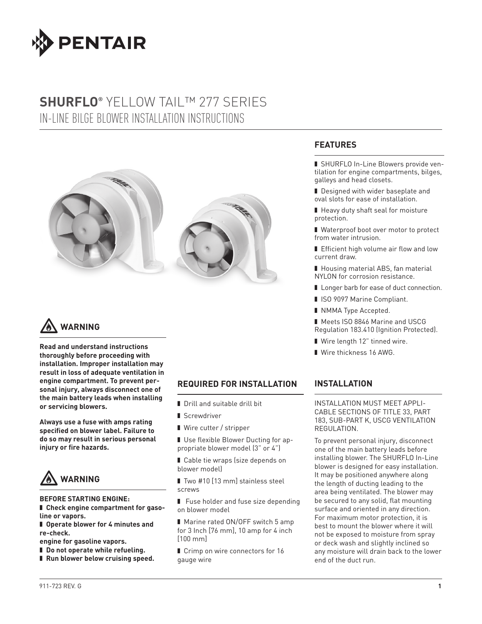

# **SHURFLO®** YELLOW TAIL™ 277 SERIES IN-LINE BILGE BLOWER INSTALLATION INSTRUCTIONS





**Read and understand instructions thoroughly before proceeding with installation. Improper installation may result in loss of adequate ventilation in engine compartment. To prevent personal injury, always disconnect one of the main battery leads when installing or servicing blowers.**

**Always use a fuse with amps rating specifi ed on blower label. Failure to do so may result in serious personal injury or fire hazards.** 



#### **BEFORE STARTING ENGINE:**

- ❚ **Check engine compartment for gasoline or vapors.**
- Operate blower for 4 minutes and **re-check.**
- **engine for gasoline vapors.**
- Do not operate while refueling.
- Run blower below cruising speed.

#### **REQUIRED FOR INSTALLATION**

- Drill and suitable drill bit
- **■** Screwdriver
- Wire cutter / stripper
- Use flexible Blower Ducting for appropriate blower model (3" or 4")
- Cable tie wraps (size depends on blower model)
- Two #10 [13 mm] stainless steel screws
- Fuse holder and fuse size depending on blower model
- Marine rated ON/OFF switch 5 amp for 3 Inch [76 mm], 10 amp for 4 inch [100 mm]
- Crimp on wire connectors for 16 gauge wire

### **FEATURES**

- SHURFLO In-Line Blowers provide ventilation for engine compartments, bilges, galleys and head closets.
- Designed with wider baseplate and oval slots for ease of installation.
- Heavy duty shaft seal for moisture protection.
- Waterproof boot over motor to protect from water intrusion.
- Efficient high volume air flow and low current draw.
- Housing material ABS, fan material NYLON for corrosion resistance.
- Longer barb for ease of duct connection.
- ISO 9097 Marine Compliant.
- NMMA Type Accepted.
- Meets ISO 8846 Marine and USCG Regulation 183.410 (Ignition Protected).
- Wire length 12" tinned wire.
- Wire thickness 16 AWG.

#### **INSTALLATION**

INSTALLATION MUST MEET APPLI-CABLE SECTIONS OF TITLE 33, PART 183, SUB-PART K, USCG VENTILATION REGULATION.

To prevent personal injury, disconnect one of the main battery leads before installing blower. The SHURFLO In-Line blower is designed for easy installation. It may be positioned anywhere along the length of ducting leading to the area being ventilated. The blower may be secured to any solid, flat mounting surface and oriented in any direction. For maximum motor protection, it is best to mount the blower where it will not be exposed to moisture from spray or deck wash and slightly inclined so any moisture will drain back to the lower end of the duct run.